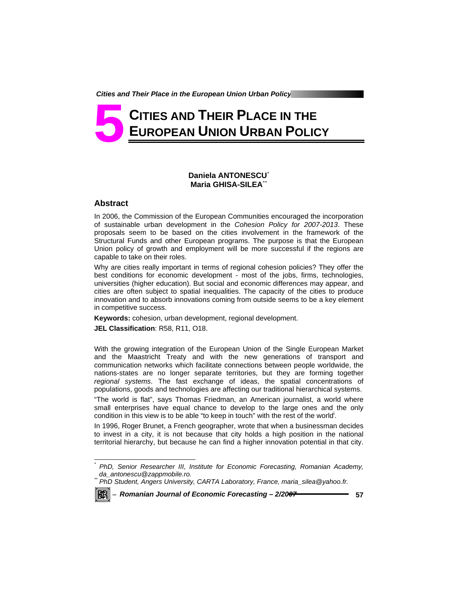# **CITIES AND THEIR PLACE IN THE EUROPEAN UNION URBAN POLICY 5**

# **Daniela ANTONESCU**\* **Maria GHISA-SILEA**\*\*

### **Abstract**

In 2006, the Commission of the European Communities encouraged the incorporation of sustainable urban development in the *Cohesion Policy for 2007-2013*. These proposals seem to be based on the cities involvement in the framework of the Structural Funds and other European programs. The purpose is that the European Union policy of growth and employment will be more successful if the regions are capable to take on their roles.

Why are cities really important in terms of regional cohesion policies? They offer the best conditions for economic development - most of the jobs, firms, technologies, universities (higher education). But social and economic differences may appear, and cities are often subject to spatial inequalities. The capacity of the cities to produce innovation and to absorb innovations coming from outside seems to be a key element in competitive success.

**Keywords:** cohesion, urban development, regional development. **JEL Classification**: R58, R11, O18.

With the growing integration of the European Union of the Single European Market and the Maastricht Treaty and with the new generations of transport and communication networks which facilitate connections between people worldwide, the nations-states are no longer separate territories, but they are forming together *regional systems*. The fast exchange of ideas, the spatial concentrations of populations, goods and technologies are affecting our traditional hierarchical systems.

"The world is flat", says Thomas Friedman, an American journalist, a world where small enterprises have equal chance to develop to the large ones and the only condition in this view is to be able "to keep in touch" with the rest of the world.

In 1996, Roger Brunet, a French geographer, wrote that when a businessman decides to invest in a city, it is not because that city holds a high position in the national territorial hierarchy, but because he can find a higher innovation potential in that city.



l

*<sup>\*</sup> PhD, Senior Researcher III, Institute for Economic Forecasting, Romanian Academy, da\_antonescu@zappmobile.ro. \*\* PhD Student, Angers University, CARTA Laboratory, France, maria\_silea@yahoo.fr.*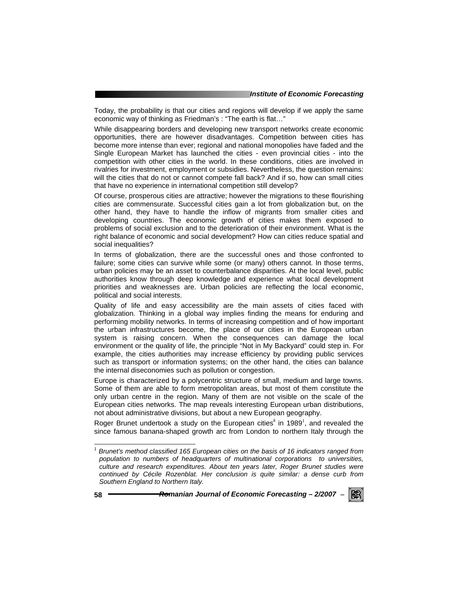Today, the probability is that our cities and regions will develop if we apply the same economic way of thinking as Friedman's : "The earth is flat…"

While disappearing borders and developing new transport networks create economic opportunities, there are however disadvantages. Competition between cities has become more intense than ever; regional and national monopolies have faded and the Single European Market has launched the cities - even provincial cities - into the competition with other cities in the world. In these conditions, cities are involved in rivalries for investment, employment or subsidies. Nevertheless, the question remains: will the cities that do not or cannot compete fall back? And if so, how can small cities that have no experience in international competition still develop?

Of course, prosperous cities are attractive; however the migrations to these flourishing cities are commensurate. Successful cities gain a lot from globalization but, on the other hand, they have to handle the inflow of migrants from smaller cities and developing countries. The economic growth of cities makes them exposed to problems of social exclusion and to the deterioration of their environment. What is the right balance of economic and social development? How can cities reduce spatial and social inequalities?

In terms of globalization, there are the successful ones and those confronted to failure; some cities can survive while some (or many) others cannot. In those terms, urban policies may be an asset to counterbalance disparities. At the local level, public authorities know through deep knowledge and experience what local development priorities and weaknesses are. Urban policies are reflecting the local economic, political and social interests.

Quality of life and easy accessibility are the main assets of cities faced with globalization. Thinking in a global way implies finding the means for enduring and performing mobility networks. In terms of increasing competition and of how important the urban infrastructures become, the place of our cities in the European urban system is raising concern. When the consequences can damage the local environment or the quality of life, the principle "Not in My Backyard" could step in. For example, the cities authorities may increase efficiency by providing public services such as transport or information systems; on the other hand, the cities can balance the internal diseconomies such as pollution or congestion.

Europe is characterized by a polycentric structure of small, medium and large towns. Some of them are able to form metropolitan areas, but most of them constitute the only urban centre in the region. Many of them are not visible on the scale of the European cities networks. The map reveals interesting European urban distributions, not about administrative divisions, but about a new European geography.

Roger Brunet undertook a study on the European cities<sup>ii</sup> in 1989<sup>1</sup>, and revealed the since famous banana-shaped growth arc from London to northern Italy through the



l

<sup>&</sup>lt;sup>1</sup> Brunet's method classified 165 European cities on the basis of 16 indicators ranged from *population to numbers of headquarters of multinational corporations to universities, culture and research expenditures. About ten years later, Roger Brunet studies were continued by Cécile Rozenblat. Her conclusion is quite similar: a dense curb from Southern England to Northern Italy.*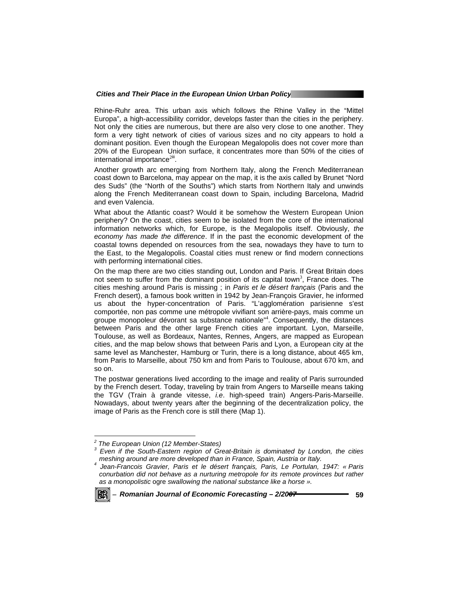Rhine-Ruhr area. This urban axis which follows the Rhine Valley in the "Mittel Europa", a high-accessibility corridor, develops faster than the cities in the periphery. Not only the cities are numerous, but there are also very close to one another. They form a very tight network of cities of various sizes and no city appears to hold a dominant position. Even though the European Megalopolis does not cover more than 20% of the European Union surface, it concentrates more than 50% of the cities of international importance<sup>2iii</sup>.

Another growth arc emerging from Northern Italy, along the French Mediterranean coast down to Barcelona, may appear on the map, it is the axis called by Brunet "Nord des Suds" (the "North of the Souths") which starts from Northern Italy and unwinds along the French Mediterranean coast down to Spain, including Barcelona, Madrid and even Valencia.

What about the Atlantic coast? Would it be somehow the Western European Union periphery? On the coast, cities seem to be isolated from the core of the international information networks which, for Europe, is the Megalopolis itself. Obviously, *the economy has made the difference*. If in the past the economic development of the coastal towns depended on resources from the sea, nowadays they have to turn to the East, to the Megalopolis. Coastal cities must renew or find modern connections with performing international cities.

On the map there are two cities standing out, London and Paris. If Great Britain does not seem to suffer from the dominant position of its capital town<sup>3</sup>, France does. The cities meshing around Paris is missing ; in *Paris et le désert français* (Paris and the French desert), a famous book written in 1942 by Jean-François Gravier, he informed us about the hyper-concentration of Paris. "L'agglomération parisienne s'est comportée, non pas comme une métropole vivifiant son arrière-pays, mais comme un groupe monopoleur dévorant sa substance nationale"<sup>4</sup>. Consequently, the distances between Paris and the other large French cities are important. Lyon, Marseille, Toulouse, as well as Bordeaux, Nantes, Rennes, Angers, are mapped as European cities, and the map below shows that between Paris and Lyon, a European city at the same level as Manchester, Hamburg or Turin, there is a long distance, about 465 km, from Paris to Marseille, about 750 km and from Paris to Toulouse, about 670 km, and so on.

The postwar generations lived according to the image and reality of Paris surrounded by the French desert. Today, traveling by train from Angers to Marseille means taking the TGV (Train à grande vitesse, *i.e*. high-speed train) Angers-Paris-Marseille. Nowadays, about twenty years after the beginning of the decentralization policy, the image of Paris as the French core is still there (Map 1).

*Jean-Francois Gravier, Paris et le désert français, Paris, Le Portulan, 1947: « Paris conurbation did not behave as a nurturing metropole for its remote provinces but rather as a monopolistic* ogre *swallowing the national substance like a horse ».* 



l

*<sup>2</sup> The European Union (12 Member-States)* 

<sup>&</sup>lt;sup>3</sup> Even if the South-Eastern region of Great-Britain is dominated by London, the cities *meshing around are more developed than in France, Spain, Austria or Italy.*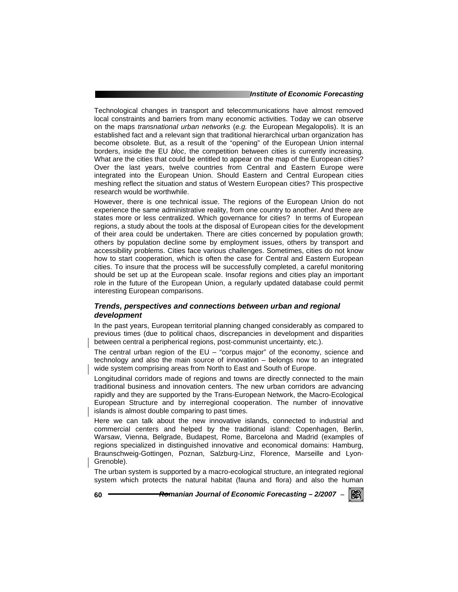#### *Institute of Economic Forecasting*

Technological changes in transport and telecommunications have almost removed local constraints and barriers from many economic activities. Today we can observe on the maps *transnational urban networks* (*e.g.* the European Megalopolis). It is an established fact and a relevant sign that traditional hierarchical urban organization has become obsolete. But, as a result of the "opening" of the European Union internal borders, inside the EU *bloc*, the competition between cities is currently increasing. What are the cities that could be entitled to appear on the map of the European cities? Over the last years, twelve countries from Central and Eastern Europe were integrated into the European Union. Should Eastern and Central European cities meshing reflect the situation and status of Western European cities? This prospective research would be worthwhile.

However, there is one technical issue. The regions of the European Union do not experience the same administrative reality, from one country to another. And there are states more or less centralized. Which governance for cities? In terms of European regions, a study about the tools at the disposal of European cities for the development of their area could be undertaken. There are cities concerned by population growth; others by population decline some by employment issues, others by transport and accessibility problems. Cities face various challenges. Sometimes, cities do not know how to start cooperation, which is often the case for Central and Eastern European cities. To insure that the process will be successfully completed, a careful monitoring should be set up at the European scale. Insofar regions and cities play an important role in the future of the European Union, a regularly updated database could permit interesting European comparisons.

# *Trends, perspectives and connections between urban and regional development*

In the past years, European territorial planning changed considerably as compared to previous times (due to political chaos, discrepancies in development and disparities between central a peripherical regions, post-communist uncertainty, etc.).

The central urban region of the EU – "corpus major" of the economy, science and technology and also the main source of innovation – belongs now to an integrated wide system comprising areas from North to East and South of Europe.

Longitudinal corridors made of regions and towns are directly connected to the main traditional business and innovation centers. The new urban corridors are advancing rapidly and they are supported by the Trans-European Network, the Macro-Ecological European Structure and by interregional cooperation. The number of innovative islands is almost double comparing to past times.

Here we can talk about the new innovative islands, connected to industrial and commercial centers and helped by the traditional island: Copenhagen, Berlin, Warsaw, Vienna, Belgrade, Budapest, Rome, Barcelona and Madrid (examples of regions specialized in distinguished innovative and economical domains: Hamburg, Braunschweig-Gottingen, Poznan, Salzburg-Linz, Florence, Marseille and Lyon-Grenoble).

The urban system is supported by a macro-ecological structure, an integrated regional system which protects the natural habitat (fauna and flora) and also the human

**60** *Romanian Journal of Economic Forecasting – 2/2007* <sup>−</sup>

RGRI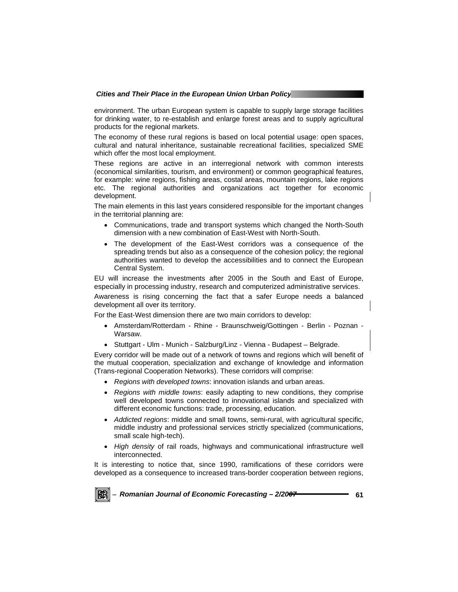environment. The urban European system is capable to supply large storage facilities for drinking water, to re-establish and enlarge forest areas and to supply agricultural products for the regional markets.

The economy of these rural regions is based on local potential usage: open spaces, cultural and natural inheritance, sustainable recreational facilities, specialized SME which offer the most local employment.

These regions are active in an interregional network with common interests (economical similarities, tourism, and environment) or common geographical features, for example: wine regions, fishing areas, costal areas, mountain regions, lake regions etc. The regional authorities and organizations act together for economic development.

The main elements in this last years considered responsible for the important changes in the territorial planning are:

- Communications, trade and transport systems which changed the North-South dimension with a new combination of East-West with North-South.
- The development of the East-West corridors was a consequence of the spreading trends but also as a consequence of the cohesion policy; the regional authorities wanted to develop the accessibilities and to connect the European Central System.

EU will increase the investments after 2005 in the South and East of Europe, especially in processing industry, research and computerized administrative services.

Awareness is rising concerning the fact that a safer Europe needs a balanced development all over its territory.

For the East-West dimension there are two main corridors to develop:

- Amsterdam/Rotterdam Rhine Braunschweig/Gottingen Berlin Poznan Warsaw.
- Stuttgart Ulm Munich Salzburg/Linz Vienna Budapest Belgrade.

Every corridor will be made out of a network of towns and regions which will benefit of the mutual cooperation, specialization and exchange of knowledge and information (Trans-regional Cooperation Networks). These corridors will comprise:

- *Regions with developed towns*: innovation islands and urban areas.
- *Regions with middle towns*: easily adapting to new conditions, they comprise well developed towns connected to innovational islands and specialized with different economic functions: trade, processing, education.
- *Addicted regions*: middle and small towns, semi-rural, with agricultural specific, middle industry and professional services strictly specialized (communications, small scale high-tech).
- *High density* of rail roads, highways and communicational infrastructure well interconnected.

It is interesting to notice that, since 1990, ramifications of these corridors were developed as a consequence to increased trans-border cooperation between regions,

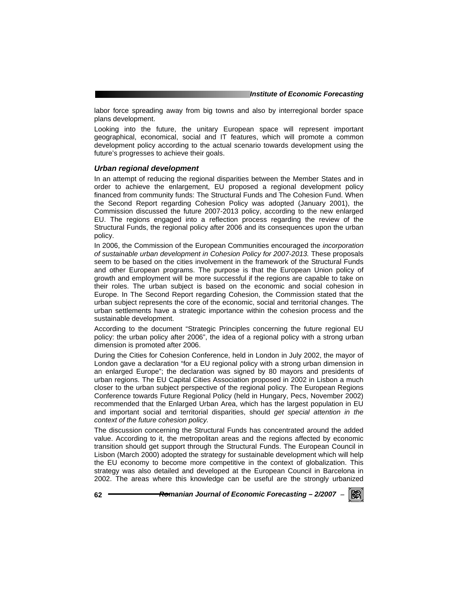labor force spreading away from big towns and also by interregional border space plans development.

Looking into the future, the unitary European space will represent important geographical, economical, social and IT features, which will promote a common development policy according to the actual scenario towards development using the future's progresses to achieve their goals.

#### *Urban regional development*

In an attempt of reducing the regional disparities between the Member States and in order to achieve the enlargement, EU proposed a regional development policy financed from community funds: The Structural Funds and The Cohesion Fund. When the Second Report regarding Cohesion Policy was adopted (January 2001), the Commission discussed the future 2007-2013 policy, according to the new enlarged EU. The regions engaged into a reflection process regarding the review of the Structural Funds, the regional policy after 2006 and its consequences upon the urban policy.

In 2006, the Commission of the European Communities encouraged the *incorporation of sustainable urban development in Cohesion Policy for 2007-2013.* These proposals seem to be based on the cities involvement in the framework of the Structural Funds and other European programs. The purpose is that the European Union policy of growth and employment will be more successful if the regions are capable to take on their roles. The urban subject is based on the economic and social cohesion in Europe. In The Second Report regarding Cohesion, the Commission stated that the urban subject represents the core of the economic, social and territorial changes. The urban settlements have a strategic importance within the cohesion process and the sustainable development.

According to the document "Strategic Principles concerning the future regional EU policy: the urban policy after 2006", the idea of a regional policy with a strong urban dimension is promoted after 2006.

During the Cities for Cohesion Conference, held in London in July 2002, the mayor of London gave a declaration "for a EU regional policy with a strong urban dimension in an enlarged Europe"; the declaration was signed by 80 mayors and presidents of urban regions. The EU Capital Cities Association proposed in 2002 in Lisbon a much closer to the urban subject perspective of the regional policy. The European Regions Conference towards Future Regional Policy (held in Hungary, Pecs, November 2002) recommended that the Enlarged Urban Area, which has the largest population in EU and important social and territorial disparities, should *get special attention in the context of the future cohesion policy.* 

The discussion concerning the Structural Funds has concentrated around the added value. According to it, the metropolitan areas and the regions affected by economic transition should get support through the Structural Funds. The European Council in Lisbon (March 2000) adopted the strategy for sustainable development which will help the EU economy to become more competitive in the context of globalization. This strategy was also detailed and developed at the European Council in Barcelona in 2002. The areas where this knowledge can be useful are the strongly urbanized

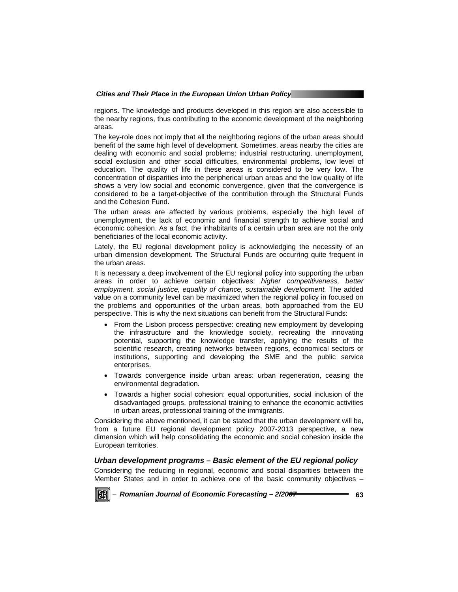regions. The knowledge and products developed in this region are also accessible to the nearby regions, thus contributing to the economic development of the neighboring areas.

The key-role does not imply that all the neighboring regions of the urban areas should benefit of the same high level of development. Sometimes, areas nearby the cities are dealing with economic and social problems: industrial restructuring, unemployment, social exclusion and other social difficulties, environmental problems, low level of education. The quality of life in these areas is considered to be very low. The concentration of disparities into the peripherical urban areas and the low quality of life shows a very low social and economic convergence, given that the convergence is considered to be a target-objective of the contribution through the Structural Funds and the Cohesion Fund.

The urban areas are affected by various problems, especially the high level of unemployment, the lack of economic and financial strength to achieve social and economic cohesion. As a fact, the inhabitants of a certain urban area are not the only beneficiaries of the local economic activity.

Lately, the EU regional development policy is acknowledging the necessity of an urban dimension development. The Structural Funds are occurring quite frequent in the urban areas.

It is necessary a deep involvement of the EU regional policy into supporting the urban areas in order to achieve certain objectives: *higher competitiveness, better employment, social justice, equality of chance, sustainable development.* The added value on a community level can be maximized when the regional policy in focused on the problems and opportunities of the urban areas, both approached from the EU perspective. This is why the next situations can benefit from the Structural Funds:

- From the Lisbon process perspective: creating new employment by developing the infrastructure and the knowledge society, recreating the innovating potential, supporting the knowledge transfer, applying the results of the scientific research, creating networks between regions, economical sectors or institutions, supporting and developing the SME and the public service enterprises.
- Towards convergence inside urban areas: urban regeneration, ceasing the environmental degradation.
- Towards a higher social cohesion: equal opportunities, social inclusion of the disadvantaged groups, professional training to enhance the economic activities in urban areas, professional training of the immigrants.

Considering the above mentioned, it can be stated that the urban development will be, from a future EU regional development policy 2007-2013 perspective, a new dimension which will help consolidating the economic and social cohesion inside the European territories.

# *Urban development programs – Basic element of the EU regional policy*

Considering the reducing in regional, economic and social disparities between the Member States and in order to achieve one of the basic community objectives –

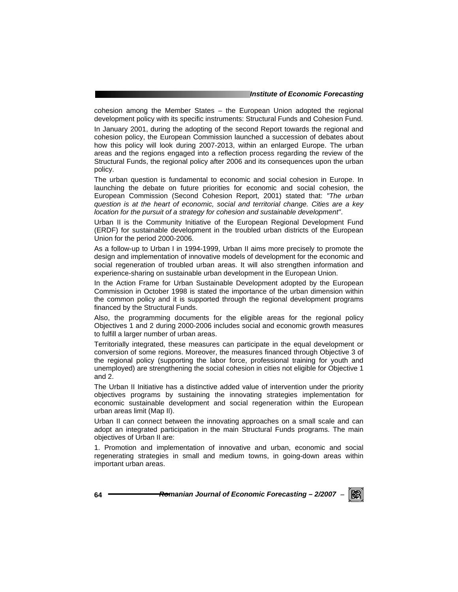#### *Institute of Economic Forecasting*

cohesion among the Member States – the European Union adopted the regional development policy with its specific instruments: Structural Funds and Cohesion Fund.

In January 2001, during the adopting of the second Report towards the regional and cohesion policy, the European Commission launched a succession of debates about how this policy will look during 2007-2013, within an enlarged Europe. The urban areas and the regions engaged into a reflection process regarding the review of the Structural Funds, the regional policy after 2006 and its consequences upon the urban policy.

The urban question is fundamental to economic and social cohesion in Europe. In launching the debate on future priorities for economic and social cohesion, the European Commission (Second Cohesion Report, 2001) stated that: *"The urban question is at the heart of economic, social and territorial change. Cities are a key location for the pursuit of a strategy for cohesion and sustainable development"*.

Urban II is the Community Initiative of the European Regional Development Fund (ERDF) for sustainable development in the troubled urban districts of the European Union for the period 2000-2006.

As a follow-up to Urban I in 1994-1999, Urban II aims more precisely to promote the design and implementation of innovative models of development for the economic and social regeneration of troubled urban areas. It will also strengthen information and experience-sharing on sustainable urban development in the European Union.

In the Action Frame for Urban Sustainable Development adopted by the European Commission in October 1998 is stated the importance of the urban dimension within the common policy and it is supported through the regional development programs financed by the Structural Funds.

Also, the programming documents for the eligible areas for the regional policy Objectives 1 and 2 during 2000-2006 includes social and economic growth measures to fulfill a larger number of urban areas.

Territorially integrated, these measures can participate in the equal development or conversion of some regions. Moreover, the measures financed through Objective 3 of the regional policy (supporting the labor force, professional training for youth and unemployed) are strengthening the social cohesion in cities not eligible for Objective 1 and 2.

The Urban II Initiative has a distinctive added value of intervention under the priority objectives programs by sustaining the innovating strategies implementation for economic sustainable development and social regeneration within the European urban areas limit (Map II).

Urban II can connect between the innovating approaches on a small scale and can adopt an integrated participation in the main Structural Funds programs. The main objectives of Urban II are:

1. Promotion and implementation of innovative and urban, economic and social regenerating strategies in small and medium towns, in going-down areas within important urban areas.

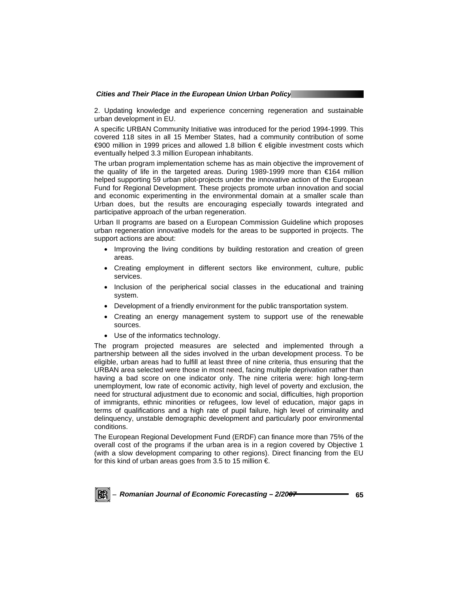2. Updating knowledge and experience concerning regeneration and sustainable urban development in EU.

A specific URBAN Community Initiative was introduced for the period 1994-1999. This covered 118 sites in all 15 Member States, had a community contribution of some €900 million in 1999 prices and allowed 1.8 billion € eligible investment costs which eventually helped 3.3 million European inhabitants.

The urban program implementation scheme has as main objective the improvement of the quality of life in the targeted areas. During 1989-1999 more than €164 million helped supporting 59 urban pilot-projects under the innovative action of the European Fund for Regional Development. These projects promote urban innovation and social and economic experimenting in the environmental domain at a smaller scale than Urban does, but the results are encouraging especially towards integrated and participative approach of the urban regeneration.

Urban II programs are based on a European Commission Guideline which proposes urban regeneration innovative models for the areas to be supported in projects. The support actions are about:

- Improving the living conditions by building restoration and creation of green areas.
- Creating employment in different sectors like environment, culture, public services.
- Inclusion of the peripherical social classes in the educational and training system.
- Development of a friendly environment for the public transportation system.
- Creating an energy management system to support use of the renewable sources.
- Use of the informatics technology.

The program projected measures are selected and implemented through a partnership between all the sides involved in the urban development process. To be eligible, urban areas had to fulfill at least three of nine criteria, thus ensuring that the URBAN area selected were those in most need, facing multiple deprivation rather than having a bad score on one indicator only. The nine criteria were: high long-term unemployment, low rate of economic activity, high level of poverty and exclusion, the need for structural adjustment due to economic and social, difficulties, high proportion of immigrants, ethnic minorities or refugees, low level of education, major gaps in terms of qualifications and a high rate of pupil failure, high level of criminality and delinquency, unstable demographic development and particularly poor environmental conditions.

The European Regional Development Fund (ERDF) can finance more than 75% of the overall cost of the programs if the urban area is in a region covered by Objective 1 (with a slow development comparing to other regions). Direct financing from the EU for this kind of urban areas goes from 3.5 to 15 million  $\epsilon$ .

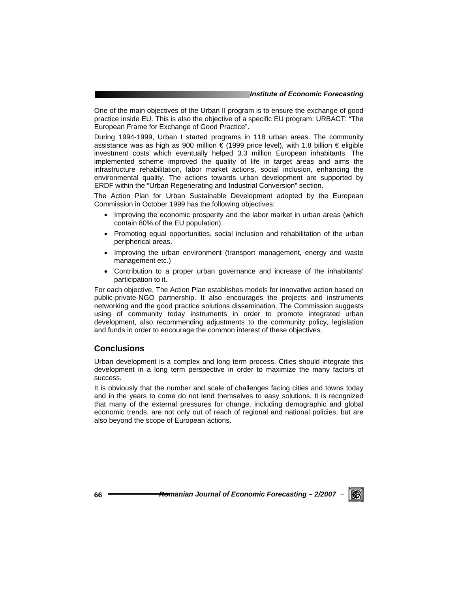One of the main objectives of the Urban II program is to ensure the exchange of good practice inside EU. This is also the objective of a specific EU program: URBACT: "The European Frame for Exchange of Good Practice".

During 1994-1999, Urban I started programs in 118 urban areas. The community assistance was as high as 900 million  $\epsilon$  (1999 price level), with 1.8 billion  $\epsilon$  eligible investment costs which eventually helped 3.3 million European inhabitants. The implemented scheme improved the quality of life in target areas and aims the infrastructure rehabilitation, labor market actions, social inclusion, enhancing the environmental quality. The actions towards urban development are supported by ERDF within the "Urban Regenerating and Industrial Conversion" section.

The Action Plan for Urban Sustainable Development adopted by the European Commission in October 1999 has the following objectives:

- Improving the economic prosperity and the labor market in urban areas (which contain 80% of the EU population).
- Promoting equal opportunities, social inclusion and rehabilitation of the urban peripherical areas.
- Improving the urban environment (transport management, energy and waste management etc.)
- Contribution to a proper urban governance and increase of the inhabitants' participation to it.

For each objective, The Action Plan establishes models for innovative action based on public-private-NGO partnership. It also encourages the projects and instruments networking and the good practice solutions dissemination. The Commission suggests using of community today instruments in order to promote integrated urban development, also recommending adjustments to the community policy, legislation and funds in order to encourage the common interest of these objectives.

# **Conclusions**

Urban development is a complex and long term process. Cities should integrate this development in a long term perspective in order to maximize the many factors of success.

It is obviously that the number and scale of challenges facing cities and towns today and in the years to come do not lend themselves to easy solutions. It is recognized that many of the external pressures for change, including demographic and global economic trends, are not only out of reach of regional and national policies, but are also beyond the scope of European actions.

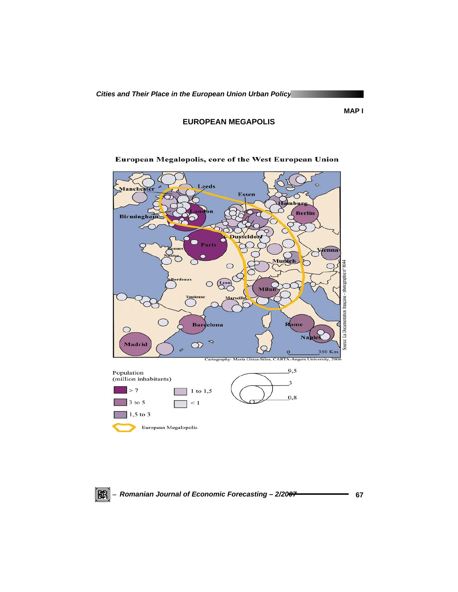**EUROPEAN MEGAPOLIS** 



European Megalopolis, core of the West European Union